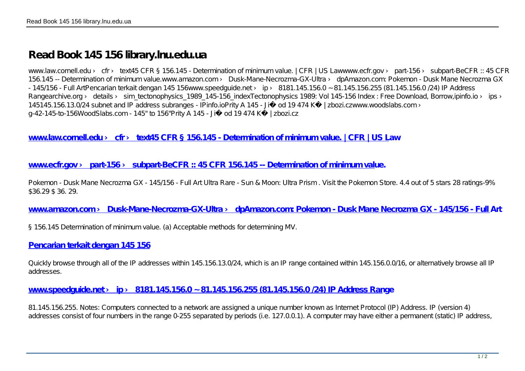# **Read Book 145 156 library.lnu.edu.ua**

www.law.cornell.edu > cfr > text45 CFR § 156.145 - Determination of minimum value. | CFR | US Lawwww.ecfr.gov > part-156 > subpart-BeCFR :: 45 CFR 156.145 -- Determination of minimum value.www.amazon.com › Dusk-Mane-Necrozma-GX-Ultra › dpAmazon.com: Pokemon - Dusk Mane Necrozma GX - 145/156 - Full ArtPencarian terkait dengan 145 156www.speedguide.net > ip > 8181.145.156.0 ~ 81.145.156.255 (81.145.156.0 / 24) IP Address Rangearchive.org > details > sim\_tectonophysics 1989 145-156 indexTectonophysics 1989: Vol 145-156 Index : Free Download, Borrow,ipinfo.io > ips > 145145.156.13.0/24 subnet and IP address subranges - IPinfo.ioPrity A 145 - Již od 19 474 K | zbozi.czwww.woodslabs.com > g-42-145-to-156WoodSlabs.com - 145" to 156"Prity A 145 - Již od 19 474 Kč | zbozi.cz

**[www.law.cornell.edu › cfr › text45 CFR § 156.145 - Determination of minimum value. | CFR | US L](http://library.lnu.edu.ua/bibl/images/Vudanna_WEB_pdf/1Visnuk_NB/2008_Vupysk_III/145-156.pdf)aw**

### **[www.ecfr.gov › part-156 › subpart-BeCFR :: 45 CFR 156.145 -- Determination of minimum valu](http://library.lnu.edu.ua/bibl/images/Vudanna_WEB_pdf/1Visnuk_NB/2008_Vupysk_III/145-156.pdf)e.**

Pokemon - Dusk Mane Necrozma GX - 145/156 - Full Art Ultra Rare - Sun & Moon: Ultra Prism . Visit the Pokemon Store. 4.4 out of 5 stars 28 ratings-9% \$36.29 \$ 36. 29.

www.amazon.com > Dusk-Mane-Necrozma-GX-Ultra > dpAmazon.com: Pokemon - Dusk Mane Necrozma GX - 145/156 - Full Art

§ 156.145 Determination of minimum value. (a) Acceptable methods for determining MV.

**[Pencarian terkait dengan 145 156](http://library.lnu.edu.ua/bibl/images/Vudanna_WEB_pdf/1Visnuk_NB/2008_Vupysk_III/145-156.pdf)**

Quickly browse through all of the IP addresses within 145.156.13.0/24, which is an IP range contained within 145.156.0.0/16, or alternatively browse all IP addresses.

#### **[www.speedguide.net › ip › 8181.145.156.0 ~ 81.145.156.255 \(81.145.156.0 /24\) IP Address Ran](http://library.lnu.edu.ua/bibl/images/Vudanna_WEB_pdf/1Visnuk_NB/2008_Vupysk_III/145-156.pdf)ge**

81.145.156.255. Notes: Computers connected to a network are assigned a unique number known as Internet Protocol (IP) Address. IP (version 4) addresses consist of four numbers in the range 0-255 separated by periods (i.e. 127.0.0.1). A computer may have either a permanent (static) IP address,